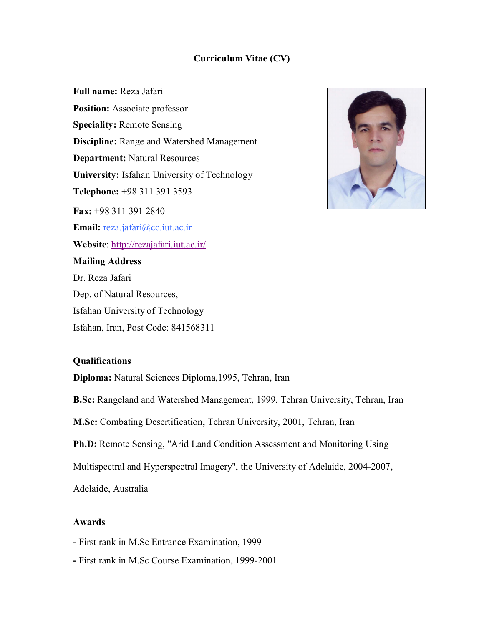# **Curriculum Vitae (CV)**

**Full name:** Reza Jafari **Position:** Associate professor **Speciality:** Remote Sensing **Discipline:** Range and Watershed Management **Department:** Natural Resources **University:** Isfahan University of Technology **Telephone:** +98 311 391 3593 **Fax:** +98 311 391 2840 **Email:** reza.jafari@cc.iut.ac.ir **Website**: http://rezajafari.iut.ac.ir/ **Mailing Address** Dr. Reza Jafari Dep. of Natural Resources, Isfahan University of Technology Isfahan, Iran, Post Code: 841568311



## **Qualifications**

**Diploma:** Natural Sciences Diploma,1995, Tehran, Iran

**B.Sc:** Rangeland and Watershed Management, 1999, Tehran University, Tehran, Iran

**M.Sc:** Combating Desertification, Tehran University, 2001, Tehran, Iran

**Ph.D:** Remote Sensing, "Arid Land Condition Assessment and Monitoring Using

Multispectral and Hyperspectral Imagery", the University of Adelaide, 2004-2007,

Adelaide, Australia

### **Awards**

- **-** First rank in M.Sc Entrance Examination, 1999
- **-** First rank in M.Sc Course Examination, 1999-2001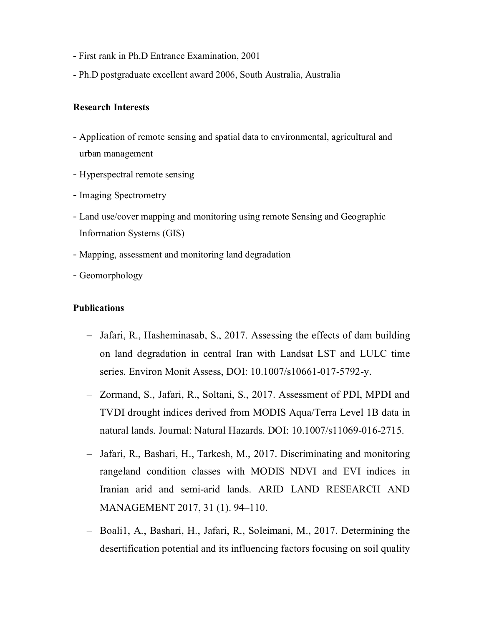- **-** First rank in Ph.D Entrance Examination, 2001
- Ph.D postgraduate excellent award 2006, South Australia, Australia

#### **Research Interests**

- Application of remote sensing and spatial data to environmental, agricultural and urban management
- Hyperspectral remote sensing
- Imaging Spectrometry
- Land use/cover mapping and monitoring using remote Sensing and Geographic Information Systems (GIS)
- Mapping, assessment and monitoring land degradation
- Geomorphology

#### **Publications**

- Jafari, R., Hasheminasab, S., 2017. Assessing the effects of dam building on land degradation in central Iran with Landsat LST and LULC time series. Environ Monit Assess, DOI: 10.1007/s10661-017-5792-y.
- Zormand, S., Jafari, R., Soltani, S., 2017. Assessment of PDI, MPDI and TVDI drought indices derived from MODIS Aqua/Terra Level 1B data in natural lands. Journal: Natural Hazards. DOI: 10.1007/s11069-016-2715.
- Jafari, R., Bashari, H., Tarkesh, M., 2017. Discriminating and monitoring rangeland condition classes with MODIS NDVI and EVI indices in Iranian arid and semi-arid lands. ARID LAND RESEARCH AND MANAGEMENT 2017, 31 (1). 94–110.
- Boali1, A., Bashari, H., Jafari, R., Soleimani, M., 2017. Determining the desertification potential and its influencing factors focusing on soil quality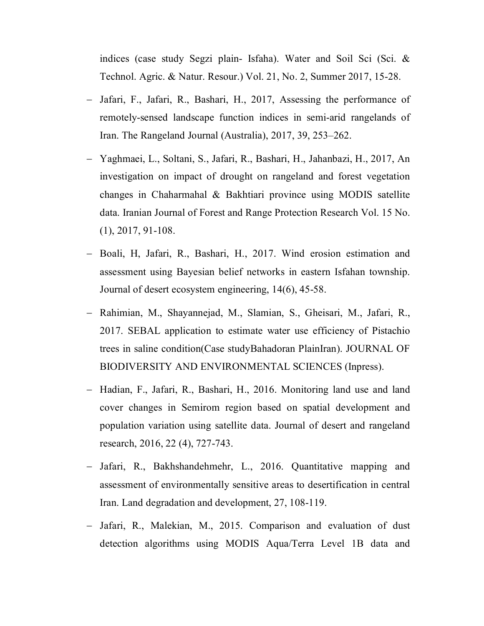indices (case study Segzi plain- Isfaha). Water and Soil Sci (Sci. & Technol. Agric. & Natur. Resour.) Vol. 21, No. 2, Summer 2017, 15-28.

- Jafari, F., Jafari, R., Bashari, H., 2017, Assessing the performance of remotely-sensed landscape function indices in semi-arid rangelands of Iran. The Rangeland Journal (Australia), 2017, 39, 253–262.
- Yaghmaei, L., Soltani, S., Jafari, R., Bashari, H., Jahanbazi, H., 2017, An investigation on impact of drought on rangeland and forest vegetation changes in Chaharmahal & Bakhtiari province using MODIS satellite data. Iranian Journal of Forest and Range Protection Research Vol. 15 No. (1), 2017, 91-108.
- Boali, H, Jafari, R., Bashari, H., 2017. Wind erosion estimation and assessment using Bayesian belief networks in eastern Isfahan township. Journal of desert ecosystem engineering, 14(6), 45-58.
- Rahimian, M., Shayannejad, M., Slamian, S., Gheisari, M., Jafari, R., 2017. SEBAL application to estimate water use efficiency of Pistachio trees in saline condition(Case studyBahadoran PlainIran). JOURNAL OF BIODIVERSITY AND ENVIRONMENTAL SCIENCES (Inpress).
- Hadian, F., Jafari, R., Bashari, H., 2016. Monitoring land use and land cover changes in Semirom region based on spatial development and population variation using satellite data. Journal of desert and rangeland research, 2016, 22 (4), 727-743.
- Jafari, R., Bakhshandehmehr, L., 2016. Quantitative mapping and assessment of environmentally sensitive areas to desertification in central Iran. Land degradation and development, 27, 108-119.
- Jafari, R., Malekian, M., 2015. Comparison and evaluation of dust detection algorithms using MODIS Aqua/Terra Level 1B data and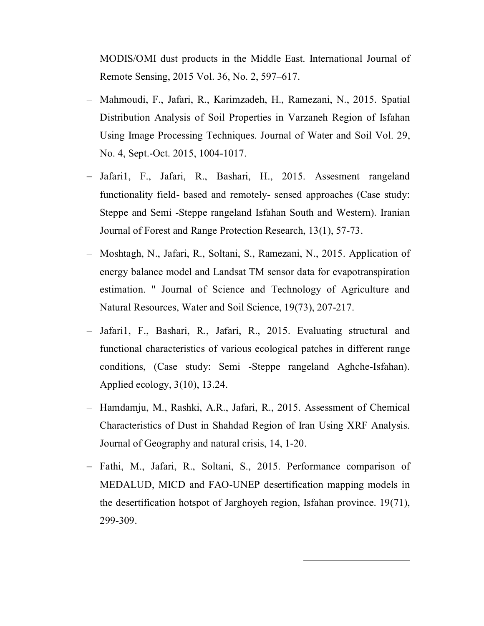MODIS/OMI dust products in the Middle East. International Journal of Remote Sensing, 2015 Vol. 36, No. 2, 597–617.

- Mahmoudi, F., Jafari, R., Karimzadeh, H., Ramezani, N., 2015. Spatial Distribution Analysis of Soil Properties in Varzaneh Region of Isfahan Using Image Processing Techniques. Journal of Water and Soil Vol. 29, No. 4, Sept.-Oct. 2015, 1004-1017.
- Jafari1, F., Jafari, R., Bashari, H., 2015. Assesment rangeland functionality field- based and remotely- sensed approaches (Case study: Steppe and Semi -Steppe rangeland Isfahan South and Western). Iranian Journal of Forest and Range Protection Research, 13(1), 57-73.
- Moshtagh, N., Jafari, R., Soltani, S., Ramezani, N., 2015. Application of energy balance model and Landsat TM sensor data for evapotranspiration estimation. " Journal of Science and Technology of Agriculture and Natural Resources, Water and Soil Science, 19(73), 207-217.
- Jafari1, F., Bashari, R., Jafari, R., 2015. Evaluating structural and functional characteristics of various ecological patches in different range conditions, (Case study: Semi -Steppe rangeland Aghche-Isfahan). Applied ecology, 3(10), 13.24.
- Hamdamju, M., Rashki, A.R., Jafari, R., 2015. Assessment of Chemical Characteristics of Dust in Shahdad Region of Iran Using XRF Analysis. Journal of Geography and natural crisis, 14, 1-20.
- Fathi, M., Jafari, R., Soltani, S., 2015. Performance comparison of MEDALUD, MICD and FAO-UNEP desertification mapping models in the desertification hotspot of Jarghoyeh region, Isfahan province. 19(71), 299-309.

 $\ddot{\phantom{a}}$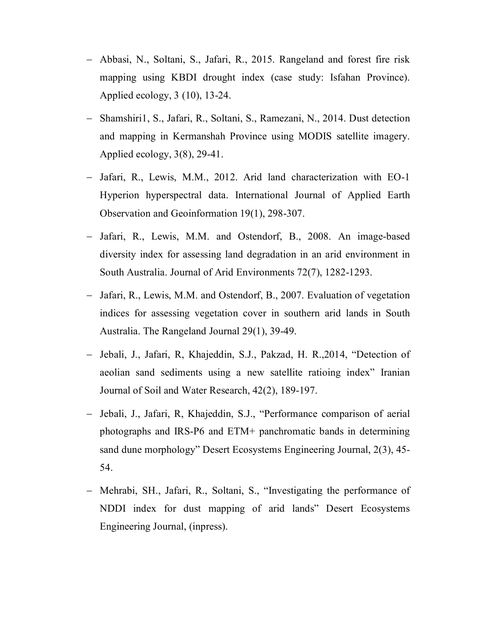- Abbasi, N., Soltani, S., Jafari, R., 2015. Rangeland and forest fire risk mapping using KBDI drought index (case study: Isfahan Province). Applied ecology, 3 (10), 13-24.
- Shamshiri1, S., Jafari, R., Soltani, S., Ramezani, N., 2014. Dust detection and mapping in Kermanshah Province using MODIS satellite imagery. Applied ecology, 3(8), 29-41.
- Jafari, R., Lewis, M.M., 2012. Arid land characterization with EO-1 Hyperion hyperspectral data. International Journal of Applied Earth Observation and Geoinformation 19(1), 298-307.
- Jafari, R., Lewis, M.M. and Ostendorf, B., 2008. An image-based diversity index for assessing land degradation in an arid environment in South Australia. Journal of Arid Environments 72(7), 1282-1293.
- Jafari, R., Lewis, M.M. and Ostendorf, B., 2007. Evaluation of vegetation indices for assessing vegetation cover in southern arid lands in South Australia. The Rangeland Journal 29(1), 39-49.
- Jebali, J., Jafari, R., Khajeddin, S.J., Pakzad, H. R., 2014, "Detection of aeolian sand sediments using a new satellite ratioing index" Iranian Journal of Soil and Water Research, 42(2), 189-197.
- Jebali, J., Jafari, R, Khajeddin, S.J., "Performance comparison of aerial photographs and IRS-P6 and ETM+ panchromatic bands in determining sand dune morphology" Desert Ecosystems Engineering Journal, 2(3), 45- 54.
- Mehrabi, SH., Jafari, R., Soltani, S., "Investigating the performance of NDDI index for dust mapping of arid lands" Desert Ecosystems Engineering Journal, (inpress).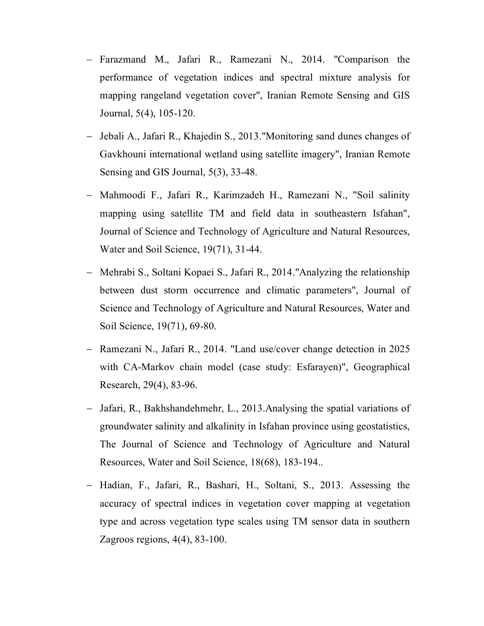- Farazmand M., Jafari R., Ramezani N., 2014. "Comparison the performance of vegetation indices and spectral mixture analysis for mapping rangeland vegetation cover", Iranian Remote Sensing and GIS Journal, 5(4), 105-120.
- Jebali A., Jafari R., Khajedin S., 2013."Monitoring sand dunes changes of Gavkhouni international wetland using satellite imagery", Iranian Remote Sensing and GIS Journal, 5(3), 33-48.
- Mahmoodi F., Jafari R., Karimzadeh H., Ramezani N., "Soil salinity mapping using satellite TM and field data in southeastern Isfahan", Journal of Science and Technology of Agriculture and Natural Resources, Water and Soil Science, 19(71), 31-44.
- Mehrabi S., Soltani Kopaei S., Jafari R., 2014."Analyzing the relationship between dust storm occurrence and climatic parameters", Journal of Science and Technology of Agriculture and Natural Resources, Water and Soil Science, 19(71), 69-80.
- Ramezani N., Jafari R., 2014. "Land use/cover change detection in 2025 with CA-Markov chain model (case study: Esfarayen)", Geographical Research, 29(4), 83-96.
- Jafari, R., Bakhshandehmehr, L., 2013.Analysing the spatial variations of groundwater salinity and alkalinity in Isfahan province using geostatistics, The Journal of Science and Technology of Agriculture and Natural Resources, Water and Soil Science, 18(68), 183-194..
- Hadian, F., Jafari, R., Bashari, H., Soltani, S., 2013. Assessing the accuracy of spectral indices in vegetation cover mapping at vegetation type and across vegetation type scales using TM sensor data in southern Zagroos regions, 4(4), 83-100.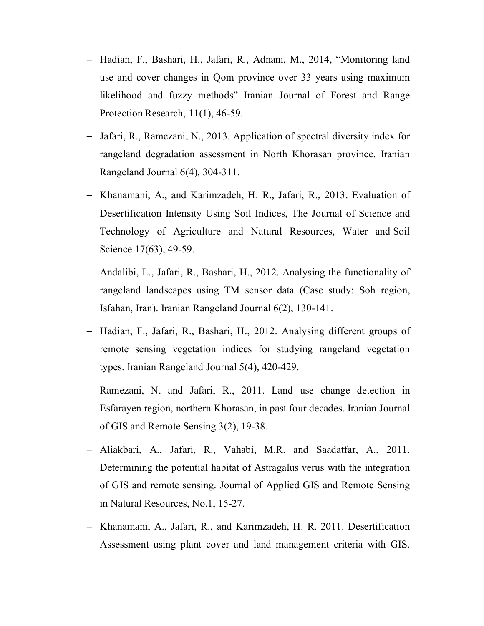- Hadian, F., Bashari, H., Jafari, R., Adnani, M., 2014, "Monitoring land use and cover changes in Qom province over 33 years using maximum likelihood and fuzzy methods" Iranian Journal of Forest and Range Protection Research, 11(1), 46-59.
- Jafari, R., Ramezani, N., 2013. Application of spectral diversity index for rangeland degradation assessment in North Khorasan province. Iranian Rangeland Journal 6(4), 304-311.
- Khanamani, A., and Karimzadeh, H. R., Jafari, R., 2013. Evaluation of Desertification Intensity Using Soil Indices, The Journal of Science and Technology of Agriculture and Natural Resources, Water and Soil Science 17(63), 49-59.
- Andalibi, L., Jafari, R., Bashari, H., 2012. Analysing the functionality of rangeland landscapes using TM sensor data (Case study: Soh region, Isfahan, Iran). Iranian Rangeland Journal 6(2), 130-141.
- Hadian, F., Jafari, R., Bashari, H., 2012. Analysing different groups of remote sensing vegetation indices for studying rangeland vegetation types. Iranian Rangeland Journal 5(4), 420-429.
- Ramezani, N. and Jafari, R., 2011. Land use change detection in Esfarayen region, northern Khorasan, in past four decades. Iranian Journal of GIS and Remote Sensing 3(2), 19-38.
- Aliakbari, A., Jafari, R., Vahabi, M.R. and Saadatfar, A., 2011. Determining the potential habitat of Astragalus verus with the integration of GIS and remote sensing. Journal of Applied GIS and Remote Sensing in Natural Resources, No.1, 15-27.
- Khanamani, A., Jafari, R., and Karimzadeh, H. R. 2011. Desertification Assessment using plant cover and land management criteria with GIS.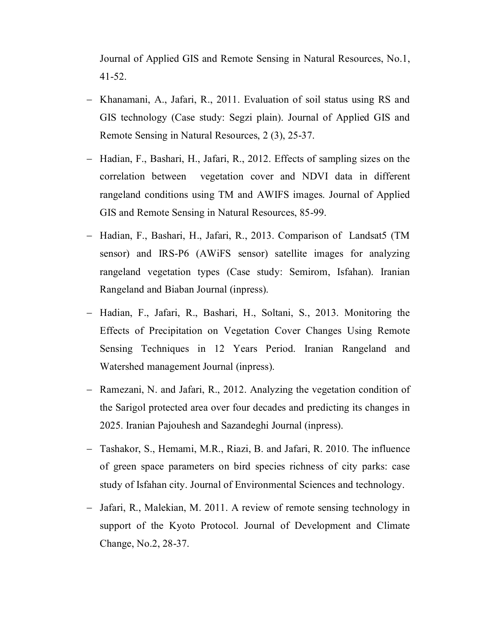Journal of Applied GIS and Remote Sensing in Natural Resources, No.1, 41-52.

- Khanamani, A., Jafari, R., 2011. Evaluation of soil status using RS and GIS technology (Case study: Segzi plain). Journal of Applied GIS and Remote Sensing in Natural Resources, 2 (3), 25-37.
- Hadian, F., Bashari, H., Jafari, R., 2012. Effects of sampling sizes on the correlation between vegetation cover and NDVI data in different rangeland conditions using TM and AWIFS images. Journal of Applied GIS and Remote Sensing in Natural Resources, 85-99.
- Hadian, F., Bashari, H., Jafari, R., 2013. Comparison of Landsat5 (TM sensor) and IRS-P6 (AWiFS sensor) satellite images for analyzing rangeland vegetation types (Case study: Semirom, Isfahan). Iranian Rangeland and Biaban Journal (inpress).
- Hadian, F., Jafari, R., Bashari, H., Soltani, S., 2013. Monitoring the Effects of Precipitation on Vegetation Cover Changes Using Remote Sensing Techniques in 12 Years Period. Iranian Rangeland and Watershed management Journal (inpress).
- Ramezani, N. and Jafari, R., 2012. Analyzing the vegetation condition of the Sarigol protected area over four decades and predicting its changes in 2025. Iranian Pajouhesh and Sazandeghi Journal (inpress).
- Tashakor, S., Hemami, M.R., Riazi, B. and Jafari, R. 2010. The influence of green space parameters on bird species richness of city parks: case study of Isfahan city. Journal of Environmental Sciences and technology.
- Jafari, R., Malekian, M. 2011. A review of remote sensing technology in support of the Kyoto Protocol. Journal of Development and Climate Change, No.2, 28-37.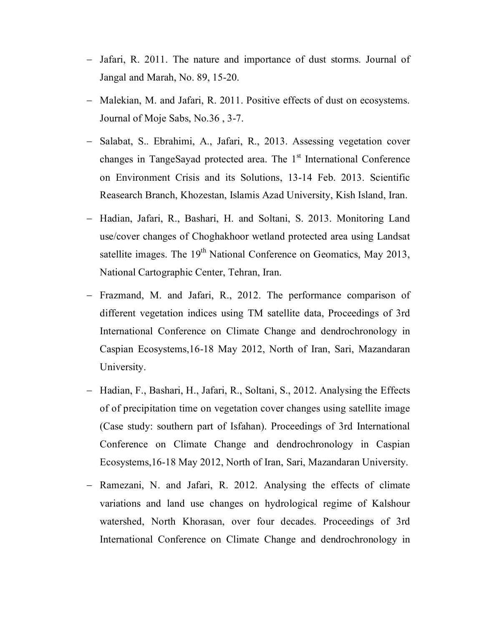- Jafari, R. 2011. The nature and importance of dust storms. Journal of Jangal and Marah, No. 89, 15-20.
- Malekian, M. and Jafari, R. 2011. Positive effects of dust on ecosystems. Journal of Moje Sabs, No.36 , 3-7.
- Salabat, S.. Ebrahimi, A., Jafari, R., 2013. Assessing vegetation cover changes in TangeSayad protected area. The 1<sup>st</sup> International Conference on Environment Crisis and its Solutions, 13-14 Feb. 2013. Scientific Reasearch Branch, Khozestan, Islamis Azad University, Kish Island, Iran.
- Hadian, Jafari, R., Bashari, H. and Soltani, S. 2013. Monitoring Land use/cover changes of Choghakhoor wetland protected area using Landsat satellite images. The 19<sup>th</sup> National Conference on Geomatics, May 2013, National Cartographic Center, Tehran, Iran.
- Frazmand, M. and Jafari, R., 2012. The performance comparison of different vegetation indices using TM satellite data, Proceedings of 3rd International Conference on Climate Change and dendrochronology in Caspian Ecosystems,16-18 May 2012, North of Iran, Sari, Mazandaran University.
- Hadian, F., Bashari, H., Jafari, R., Soltani, S., 2012. Analysing the Effects of of precipitation time on vegetation cover changes using satellite image (Case study: southern part of Isfahan). Proceedings of 3rd International Conference on Climate Change and dendrochronology in Caspian Ecosystems,16-18 May 2012, North of Iran, Sari, Mazandaran University.
- Ramezani, N. and Jafari, R. 2012. Analysing the effects of climate variations and land use changes on hydrological regime of Kalshour watershed, North Khorasan, over four decades. Proceedings of 3rd International Conference on Climate Change and dendrochronology in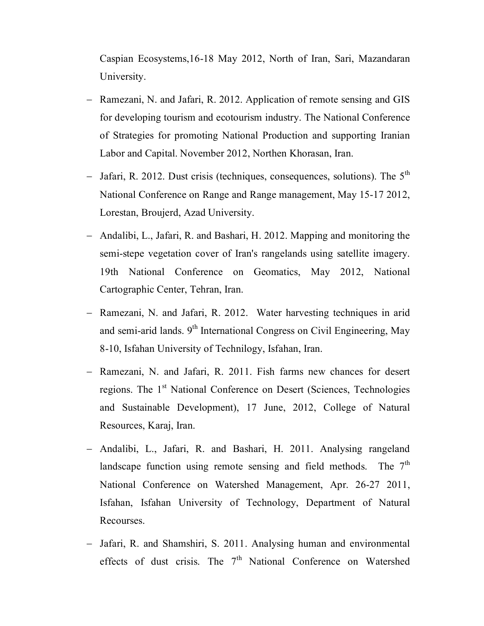Caspian Ecosystems,16-18 May 2012, North of Iran, Sari, Mazandaran University.

- Ramezani, N. and Jafari, R. 2012. Application of remote sensing and GIS for developing tourism and ecotourism industry. The National Conference of Strategies for promoting National Production and supporting Iranian Labor and Capital. November 2012, Northen Khorasan, Iran.
- Jafari, R. 2012. Dust crisis (techniques, consequences, solutions). The  $5<sup>th</sup>$ National Conference on Range and Range management, May 15-17 2012, Lorestan, Broujerd, Azad University.
- Andalibi, L., Jafari, R. and Bashari, H. 2012. Mapping and monitoring the semi-stepe vegetation cover of Iran's rangelands using satellite imagery. 19th National Conference on Geomatics, May 2012, National Cartographic Center, Tehran, Iran.
- Ramezani, N. and Jafari, R. 2012. Water harvesting techniques in arid and semi-arid lands.  $9<sup>th</sup>$  International Congress on Civil Engineering, May 8-10, Isfahan University of Technilogy, Isfahan, Iran.
- Ramezani, N. and Jafari, R. 2011. Fish farms new chances for desert regions. The 1<sup>st</sup> National Conference on Desert (Sciences, Technologies and Sustainable Development), 17 June, 2012, College of Natural Resources, Karaj, Iran.
- Andalibi, L., Jafari, R. and Bashari, H. 2011. Analysing rangeland landscape function using remote sensing and field methods. The  $7<sup>th</sup>$ National Conference on Watershed Management, Apr. 26-27 2011, Isfahan, Isfahan University of Technology, Department of Natural Recourses.
- Jafari, R. and Shamshiri, S. 2011. Analysing human and environmental effects of dust crisis. The  $7<sup>th</sup>$  National Conference on Watershed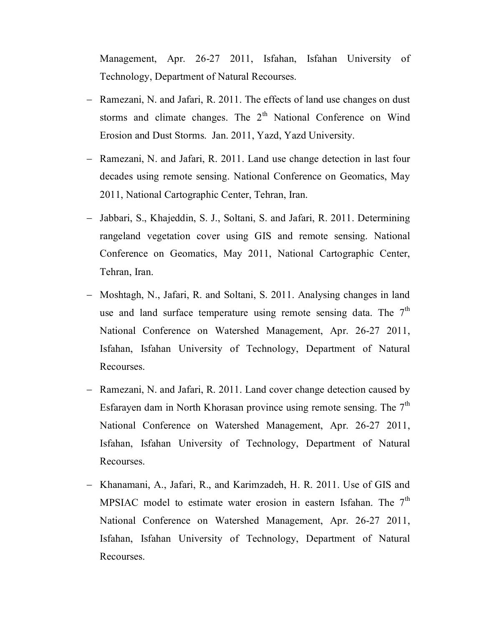Management, Apr. 26-27 2011, Isfahan, Isfahan University of Technology, Department of Natural Recourses.

- Ramezani, N. and Jafari, R. 2011. The effects of land use changes on dust storms and climate changes. The  $2<sup>th</sup>$  National Conference on Wind Erosion and Dust Storms. Jan. 2011, Yazd, Yazd University.
- Ramezani, N. and Jafari, R. 2011. Land use change detection in last four decades using remote sensing. National Conference on Geomatics, May 2011, National Cartographic Center, Tehran, Iran.
- Jabbari, S., Khajeddin, S. J., Soltani, S. and Jafari, R. 2011. Determining rangeland vegetation cover using GIS and remote sensing. National Conference on Geomatics, May 2011, National Cartographic Center, Tehran, Iran.
- Moshtagh, N., Jafari, R. and Soltani, S. 2011. Analysing changes in land use and land surface temperature using remote sensing data. The  $7<sup>th</sup>$ National Conference on Watershed Management, Apr. 26-27 2011, Isfahan, Isfahan University of Technology, Department of Natural Recourses.
- Ramezani, N. and Jafari, R. 2011. Land cover change detection caused by Esfarayen dam in North Khorasan province using remote sensing. The  $7<sup>th</sup>$ National Conference on Watershed Management, Apr. 26-27 2011, Isfahan, Isfahan University of Technology, Department of Natural Recourses.
- Khanamani, A., Jafari, R., and Karimzadeh, H. R. 2011. Use of GIS and MPSIAC model to estimate water erosion in eastern Isfahan. The  $7<sup>th</sup>$ National Conference on Watershed Management, Apr. 26-27 2011, Isfahan, Isfahan University of Technology, Department of Natural Recourses.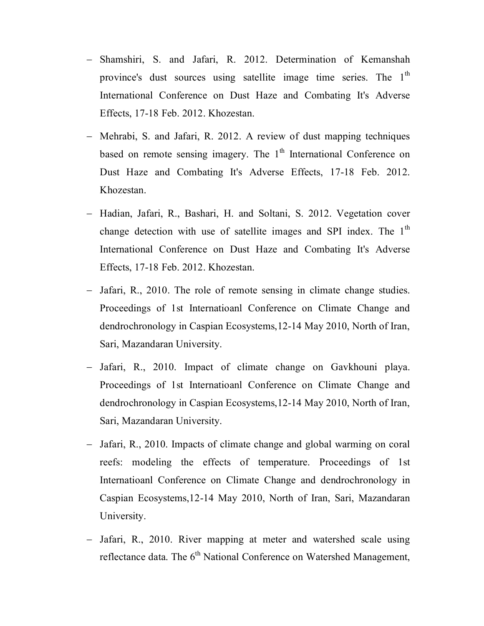- Shamshiri, S. and Jafari, R. 2012. Determination of Kemanshah province's dust sources using satellite image time series. The 1<sup>th</sup> International Conference on Dust Haze and Combating It's Adverse Effects, 17-18 Feb. 2012. Khozestan.
- Mehrabi, S. and Jafari, R. 2012. A review of dust mapping techniques based on remote sensing imagery. The  $1<sup>th</sup>$  International Conference on Dust Haze and Combating It's Adverse Effects, 17-18 Feb. 2012. Khozestan.
- Hadian, Jafari, R., Bashari, H. and Soltani, S. 2012. Vegetation cover change detection with use of satellite images and SPI index. The  $1<sup>th</sup>$ International Conference on Dust Haze and Combating It's Adverse Effects, 17-18 Feb. 2012. Khozestan.
- Jafari, R., 2010. The role of remote sensing in climate change studies. Proceedings of 1st Internatioanl Conference on Climate Change and dendrochronology in Caspian Ecosystems,12-14 May 2010, North of Iran, Sari, Mazandaran University.
- Jafari, R., 2010. Impact of climate change on Gavkhouni playa. Proceedings of 1st Internatioanl Conference on Climate Change and dendrochronology in Caspian Ecosystems,12-14 May 2010, North of Iran, Sari, Mazandaran University.
- Jafari, R., 2010. Impacts of climate change and global warming on coral reefs: modeling the effects of temperature. Proceedings of 1st Internatioanl Conference on Climate Change and dendrochronology in Caspian Ecosystems,12-14 May 2010, North of Iran, Sari, Mazandaran University.
- Jafari, R., 2010. River mapping at meter and watershed scale using reflectance data. The 6<sup>th</sup> National Conference on Watershed Management,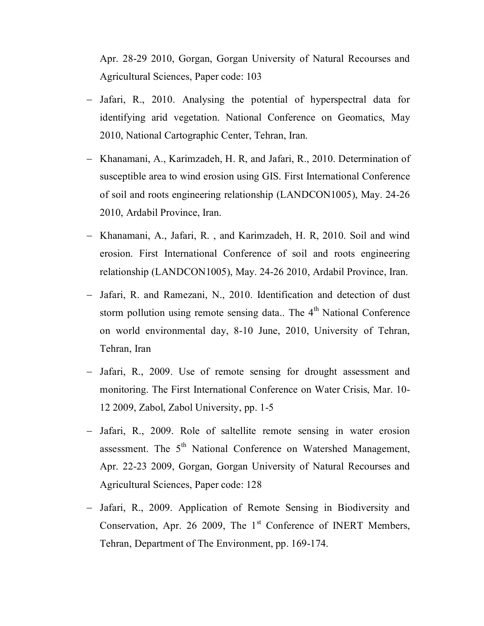Apr. 28-29 2010, Gorgan, Gorgan University of Natural Recourses and Agricultural Sciences, Paper code: 103

- Jafari, R., 2010. Analysing the potential of hyperspectral data for identifying arid vegetation. National Conference on Geomatics, May 2010, National Cartographic Center, Tehran, Iran.
- Khanamani, A., Karimzadeh, H. R, and Jafari, R., 2010. Determination of susceptible area to wind erosion using GIS. First International Conference of soil and roots engineering relationship (LANDCON1005), May. 24-26 2010, Ardabil Province, Iran.
- Khanamani, A., Jafari, R., and Karimzadeh, H. R, 2010. Soil and wind erosion. First International Conference of soil and roots engineering relationship (LANDCON1005), May. 24-26 2010, Ardabil Province, Iran.
- Jafari, R. and Ramezani, N., 2010. Identification and detection of dust storm pollution using remote sensing data.. The  $4<sup>th</sup>$  National Conference on world environmental day, 8-10 June, 2010, University of Tehran, Tehran, Iran
- Jafari, R., 2009. Use of remote sensing for drought assessment and monitoring. The First International Conference on Water Crisis, Mar. 10- 12 2009, Zabol, Zabol University, pp. 1-5
- Jafari, R., 2009. Role of saltellite remote sensing in water erosion assessment. The 5<sup>th</sup> National Conference on Watershed Management, Apr. 22-23 2009, Gorgan, Gorgan University of Natural Recourses and Agricultural Sciences, Paper code: 128
- Jafari, R., 2009. Application of Remote Sensing in Biodiversity and Conservation, Apr. 26 2009, The 1<sup>st</sup> Conference of INERT Members, Tehran, Department of The Environment, pp. 169-174.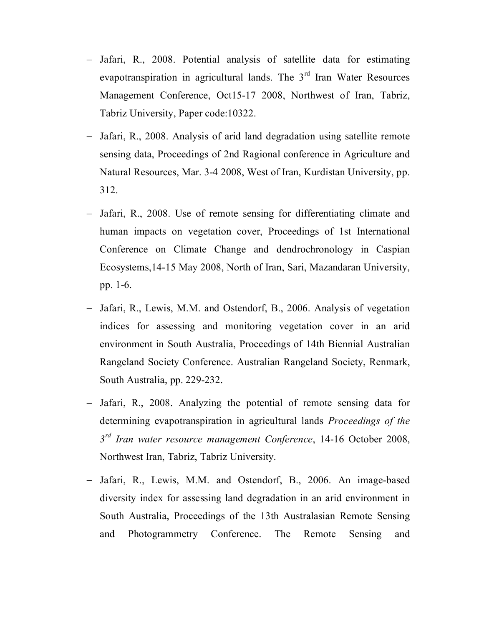- Jafari, R., 2008. Potential analysis of satellite data for estimating evapotranspiration in agricultural lands. The  $3<sup>rd</sup>$  Iran Water Resources Management Conference, Oct15-17 2008, Northwest of Iran, Tabriz, Tabriz University, Paper code:10322.
- Jafari, R., 2008. Analysis of arid land degradation using satellite remote sensing data, Proceedings of 2nd Ragional conference in Agriculture and Natural Resources, Mar. 3-4 2008, West of Iran, Kurdistan University, pp. 312.
- Jafari, R., 2008. Use of remote sensing for differentiating climate and human impacts on vegetation cover, Proceedings of 1st International Conference on Climate Change and dendrochronology in Caspian Ecosystems,14-15 May 2008, North of Iran, Sari, Mazandaran University, pp. 1-6.
- Jafari, R., Lewis, M.M. and Ostendorf, B., 2006. Analysis of vegetation indices for assessing and monitoring vegetation cover in an arid environment in South Australia, Proceedings of 14th Biennial Australian Rangeland Society Conference. Australian Rangeland Society, Renmark, South Australia, pp. 229-232.
- Jafari, R., 2008. Analyzing the potential of remote sensing data for determining evapotranspiration in agricultural lands *Proceedings of the 3 rd Iran water resource management Conference*, 14-16 October 2008, Northwest Iran, Tabriz, Tabriz University.
- Jafari, R., Lewis, M.M. and Ostendorf, B., 2006. An image-based diversity index for assessing land degradation in an arid environment in South Australia, Proceedings of the 13th Australasian Remote Sensing and Photogrammetry Conference. The Remote Sensing and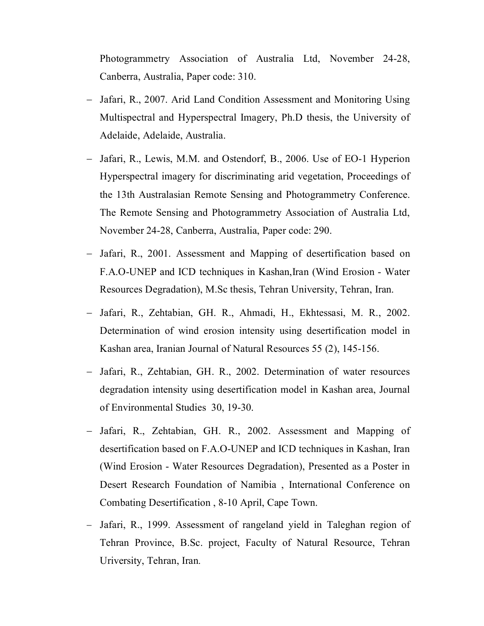Photogrammetry Association of Australia Ltd, November 24-28, Canberra, Australia, Paper code: 310.

- Jafari, R., 2007. Arid Land Condition Assessment and Monitoring Using Multispectral and Hyperspectral Imagery, Ph.D thesis, the University of Adelaide, Adelaide, Australia.
- Jafari, R., Lewis, M.M. and Ostendorf, B., 2006. Use of EO-1 Hyperion Hyperspectral imagery for discriminating arid vegetation, Proceedings of the 13th Australasian Remote Sensing and Photogrammetry Conference. The Remote Sensing and Photogrammetry Association of Australia Ltd, November 24-28, Canberra, Australia, Paper code: 290.
- Jafari, R., 2001. Assessment and Mapping of desertification based on F.A.O-UNEP and ICD techniques in Kashan,Iran (Wind Erosion - Water Resources Degradation), M.Sc thesis, Tehran University, Tehran, Iran.
- Jafari, R., Zehtabian, GH. R., Ahmadi, H., Ekhtessasi, M. R., 2002. Determination of wind erosion intensity using desertification model in Kashan area, Iranian Journal of Natural Resources 55 (2), 145-156.
- Jafari, R., Zehtabian, GH. R., 2002. Determination of water resources degradation intensity using desertification model in Kashan area, Journal of Environmental Studies 30, 19-30.
- Jafari, R., Zehtabian, GH. R., 2002. Assessment and Mapping of desertification based on F.A.O-UNEP and ICD techniques in Kashan, Iran (Wind Erosion - Water Resources Degradation), Presented as a Poster in Desert Research Foundation of Namibia , International Conference on Combating Desertification , 8-10 April, Cape Town.
- Jafari, R., 1999. Assessment of rangeland yield in Taleghan region of Tehran Province, B.Sc. project, Faculty of Natural Resource, Tehran Uriversity, Tehran, Iran.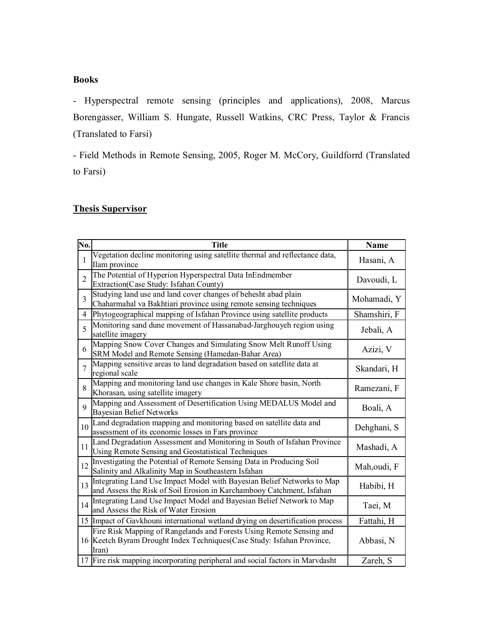# **Books**

- Hyperspectral remote sensing (principles and applications), 2008, Marcus Borengasser, William S. Hungate, Russell Watkins, CRC Press, Taylor & Francis (Translated to Farsi)

- Field Methods in Remote Sensing, 2005, Roger M. McCory, Guildforrd (Translated to Farsi)

# **Thesis Supervisor**

| No.             | <b>Title</b>                                                                                                                                             | Name         |
|-----------------|----------------------------------------------------------------------------------------------------------------------------------------------------------|--------------|
| 1               | Vegetation decline monitoring using satellite thermal and reflectance data,<br>Ilam province                                                             | Hasani, A    |
| $\overline{2}$  | The Potential of Hyperion Hyperspectral Data InEndmember<br>Extraction(Case Study: Isfahan County)                                                       | Davoudi, L   |
| $\overline{3}$  | Studying land use and land cover changes of behesht abad plain<br>Chaharmahal va Bakhtiari province using remote sensing techniques                      | Mohamadi, Y  |
| 4               | Phytogeographical mapping of Isfahan Province using satellite products                                                                                   | Shamshiri, F |
| 5               | Monitoring sand dune movement of Hassanabad-Jarghouyeh region using<br>satellite imagery                                                                 | Jebali, A    |
| 6               | Mapping Snow Cover Changes and Simulating Snow Melt Runoff Using<br>SRM Model and Remote Sensing (Hamedan-Bahar Area)                                    | Azizi, V     |
| $\overline{7}$  | Mapping sensitive areas to land degradation based on satellite data at<br>regional scale                                                                 | Skandari, H  |
| 8               | Mapping and monitoring land use changes in Kale Shore basin, North<br>Khorasan, using satellite imagery                                                  | Ramezani, F  |
| 9               | Mapping and Assessment of Desertification Using MEDALUS Model and<br><b>Bayesian Belief Networks</b>                                                     | Boali, A     |
| 10 <sup>1</sup> | Land degradation mapping and monitoring based on satellite data and<br>assessment of its economic losses in Fars province                                | Dehghani, S  |
| 11              | Land Degradation Assessment and Monitoring in South of Isfahan Province<br>Using Remote Sensing and Geostatistical Techniques                            | Mashadi, A   |
| 12              | Investigating the Potential of Remote Sensing Data in Producing Soil<br>Salinity and Alkalinity Map in Southeastern Isfahan                              | Mah, oudi, F |
| 13              | Integrating Land Use Impact Model with Bayesian Belief Networks to Map<br>and Assess the Risk of Soil Erosion in Karchambooy Catchment, Isfahan          | Habibi, H    |
| 14              | Integrating Land Use Impact Model and Bayesian Belief Network to Map<br>and Assess the Risk of Water Erosion                                             | Taei, M      |
|                 | 15 Impact of Gavkhouni international wetland drying on desertification process                                                                           | Fattahi, H   |
|                 | Fire Risk Mapping of Rangelands and Forests Using Remote Sensing and<br>16 Keetch Byram Drought Index Techniques (Case Study: Isfahan Province,<br>Iran) | Abbasi, N    |
|                 | 17 Fire risk mapping incorporating peripheral and social factors in Marvdasht                                                                            | Zareh, S     |